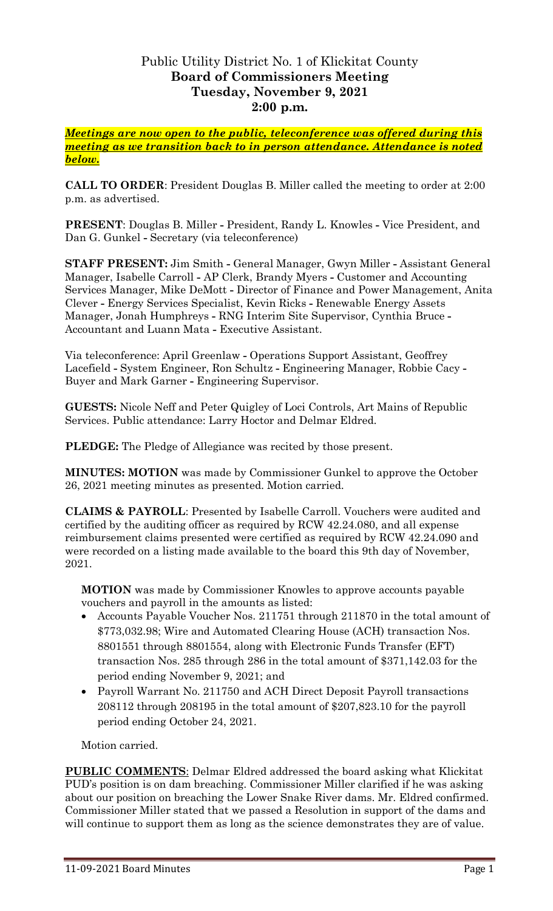## Public Utility District No. 1 of Klickitat County **Board of Commissioners Meeting Tuesday, November 9, 2021 2:00 p.m.**

*Meetings are now open to the public, teleconference was offered during this meeting as we transition back to in person attendance. Attendance is noted below.*

**CALL TO ORDER**: President Douglas B. Miller called the meeting to order at 2:00 p.m. as advertised.

**PRESENT**: Douglas B. Miller **-** President, Randy L. Knowles **-** Vice President, and Dan G. Gunkel **-** Secretary (via teleconference)

**STAFF PRESENT:** Jim Smith **-** General Manager, Gwyn Miller **-** Assistant General Manager, Isabelle Carroll **-** AP Clerk, Brandy Myers **-** Customer and Accounting Services Manager, Mike DeMott **-** Director of Finance and Power Management, Anita Clever **-** Energy Services Specialist, Kevin Ricks **-** Renewable Energy Assets Manager, Jonah Humphreys **-** RNG Interim Site Supervisor, Cynthia Bruce **-** Accountant and Luann Mata **-** Executive Assistant.

Via teleconference: April Greenlaw **-** Operations Support Assistant, Geoffrey Lacefield **-** System Engineer, Ron Schultz **-** Engineering Manager, Robbie Cacy **-** Buyer and Mark Garner **-** Engineering Supervisor.

**GUESTS:** Nicole Neff and Peter Quigley of Loci Controls, Art Mains of Republic Services. Public attendance: Larry Hoctor and Delmar Eldred.

**PLEDGE:** The Pledge of Allegiance was recited by those present.

**MINUTES: MOTION** was made by Commissioner Gunkel to approve the October 26, 2021 meeting minutes as presented. Motion carried.

**CLAIMS & PAYROLL**: Presented by Isabelle Carroll. Vouchers were audited and certified by the auditing officer as required by RCW 42.24.080, and all expense reimbursement claims presented were certified as required by RCW 42.24.090 and were recorded on a listing made available to the board this 9th day of November, 2021.

**MOTION** was made by Commissioner Knowles to approve accounts payable vouchers and payroll in the amounts as listed:

- Accounts Payable Voucher Nos. 211751 through 211870 in the total amount of \$773,032.98; Wire and Automated Clearing House (ACH) transaction Nos. 8801551 through 8801554, along with Electronic Funds Transfer (EFT) transaction Nos. 285 through 286 in the total amount of \$371,142.03 for the period ending November 9, 2021; and
- Payroll Warrant No. 211750 and ACH Direct Deposit Payroll transactions 208112 through 208195 in the total amount of \$207,823.10 for the payroll period ending October 24, 2021.

Motion carried.

**PUBLIC COMMENTS**: Delmar Eldred addressed the board asking what Klickitat PUD's position is on dam breaching. Commissioner Miller clarified if he was asking about our position on breaching the Lower Snake River dams. Mr. Eldred confirmed. Commissioner Miller stated that we passed a Resolution in support of the dams and will continue to support them as long as the science demonstrates they are of value.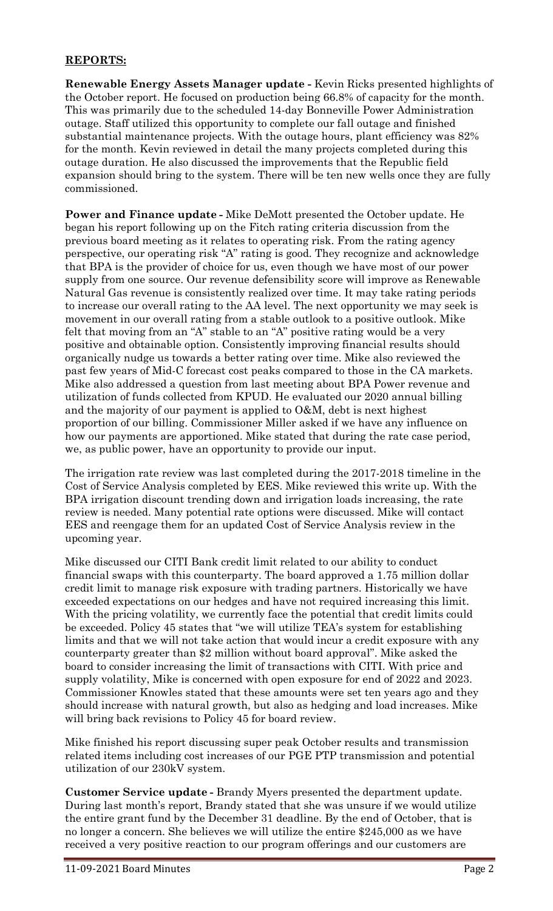## **REPORTS:**

**Renewable Energy Assets Manager update -** Kevin Ricks presented highlights of the October report. He focused on production being 66.8% of capacity for the month. This was primarily due to the scheduled 14-day Bonneville Power Administration outage. Staff utilized this opportunity to complete our fall outage and finished substantial maintenance projects. With the outage hours, plant efficiency was 82% for the month. Kevin reviewed in detail the many projects completed during this outage duration. He also discussed the improvements that the Republic field expansion should bring to the system. There will be ten new wells once they are fully commissioned.

**Power and Finance update -** Mike DeMott presented the October update. He began his report following up on the Fitch rating criteria discussion from the previous board meeting as it relates to operating risk. From the rating agency perspective, our operating risk "A" rating is good. They recognize and acknowledge that BPA is the provider of choice for us, even though we have most of our power supply from one source. Our revenue defensibility score will improve as Renewable Natural Gas revenue is consistently realized over time. It may take rating periods to increase our overall rating to the AA level. The next opportunity we may seek is movement in our overall rating from a stable outlook to a positive outlook. Mike felt that moving from an "A" stable to an "A" positive rating would be a very positive and obtainable option. Consistently improving financial results should organically nudge us towards a better rating over time. Mike also reviewed the past few years of Mid-C forecast cost peaks compared to those in the CA markets. Mike also addressed a question from last meeting about BPA Power revenue and utilization of funds collected from KPUD. He evaluated our 2020 annual billing and the majority of our payment is applied to O&M, debt is next highest proportion of our billing. Commissioner Miller asked if we have any influence on how our payments are apportioned. Mike stated that during the rate case period, we, as public power, have an opportunity to provide our input.

The irrigation rate review was last completed during the 2017-2018 timeline in the Cost of Service Analysis completed by EES. Mike reviewed this write up. With the BPA irrigation discount trending down and irrigation loads increasing, the rate review is needed. Many potential rate options were discussed. Mike will contact EES and reengage them for an updated Cost of Service Analysis review in the upcoming year.

Mike discussed our CITI Bank credit limit related to our ability to conduct financial swaps with this counterparty. The board approved a 1.75 million dollar credit limit to manage risk exposure with trading partners. Historically we have exceeded expectations on our hedges and have not required increasing this limit. With the pricing volatility, we currently face the potential that credit limits could be exceeded. Policy 45 states that "we will utilize TEA's system for establishing limits and that we will not take action that would incur a credit exposure with any counterparty greater than \$2 million without board approval". Mike asked the board to consider increasing the limit of transactions with CITI. With price and supply volatility, Mike is concerned with open exposure for end of 2022 and 2023. Commissioner Knowles stated that these amounts were set ten years ago and they should increase with natural growth, but also as hedging and load increases. Mike will bring back revisions to Policy 45 for board review.

Mike finished his report discussing super peak October results and transmission related items including cost increases of our PGE PTP transmission and potential utilization of our 230kV system.

**Customer Service update -** Brandy Myers presented the department update. During last month's report, Brandy stated that she was unsure if we would utilize the entire grant fund by the December 31 deadline. By the end of October, that is no longer a concern. She believes we will utilize the entire \$245,000 as we have received a very positive reaction to our program offerings and our customers are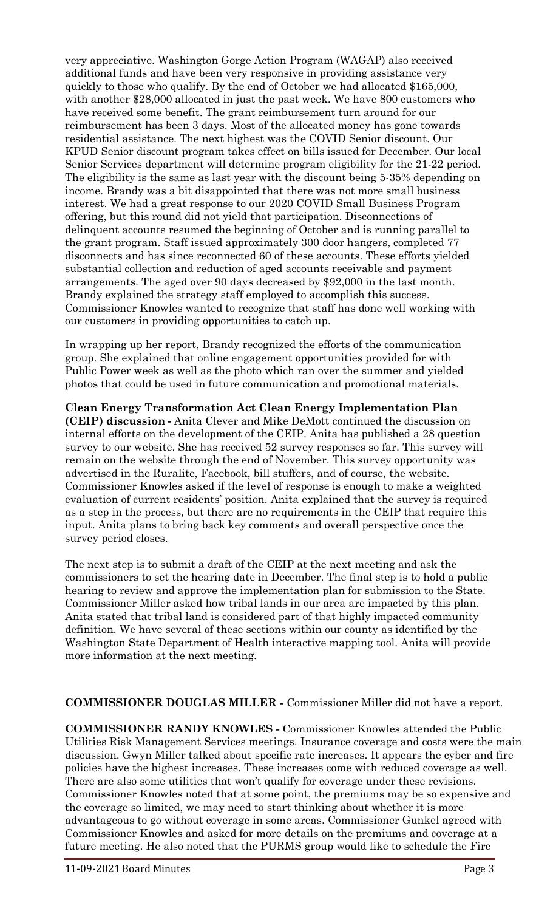very appreciative. Washington Gorge Action Program (WAGAP) also received additional funds and have been very responsive in providing assistance very quickly to those who qualify. By the end of October we had allocated \$165,000, with another \$28,000 allocated in just the past week. We have 800 customers who have received some benefit. The grant reimbursement turn around for our reimbursement has been 3 days. Most of the allocated money has gone towards residential assistance. The next highest was the COVID Senior discount. Our KPUD Senior discount program takes effect on bills issued for December. Our local Senior Services department will determine program eligibility for the 21-22 period. The eligibility is the same as last year with the discount being 5-35% depending on income. Brandy was a bit disappointed that there was not more small business interest. We had a great response to our 2020 COVID Small Business Program offering, but this round did not yield that participation. Disconnections of delinquent accounts resumed the beginning of October and is running parallel to the grant program. Staff issued approximately 300 door hangers, completed 77 disconnects and has since reconnected 60 of these accounts. These efforts yielded substantial collection and reduction of aged accounts receivable and payment arrangements. The aged over 90 days decreased by \$92,000 in the last month. Brandy explained the strategy staff employed to accomplish this success. Commissioner Knowles wanted to recognize that staff has done well working with our customers in providing opportunities to catch up.

In wrapping up her report, Brandy recognized the efforts of the communication group. She explained that online engagement opportunities provided for with Public Power week as well as the photo which ran over the summer and yielded photos that could be used in future communication and promotional materials.

**Clean Energy Transformation Act Clean Energy Implementation Plan (CEIP) discussion -** Anita Clever and Mike DeMott continued the discussion on internal efforts on the development of the CEIP. Anita has published a 28 question survey to our website. She has received 52 survey responses so far. This survey will remain on the website through the end of November. This survey opportunity was advertised in the Ruralite, Facebook, bill stuffers, and of course, the website. Commissioner Knowles asked if the level of response is enough to make a weighted evaluation of current residents' position. Anita explained that the survey is required as a step in the process, but there are no requirements in the CEIP that require this input. Anita plans to bring back key comments and overall perspective once the survey period closes.

The next step is to submit a draft of the CEIP at the next meeting and ask the commissioners to set the hearing date in December. The final step is to hold a public hearing to review and approve the implementation plan for submission to the State. Commissioner Miller asked how tribal lands in our area are impacted by this plan. Anita stated that tribal land is considered part of that highly impacted community definition. We have several of these sections within our county as identified by the Washington State Department of Health interactive mapping tool. Anita will provide more information at the next meeting.

## **COMMISSIONER DOUGLAS MILLER -** Commissioner Miller did not have a report.

**COMMISSIONER RANDY KNOWLES -** Commissioner Knowles attended the Public Utilities Risk Management Services meetings. Insurance coverage and costs were the main discussion. Gwyn Miller talked about specific rate increases. It appears the cyber and fire policies have the highest increases. These increases come with reduced coverage as well. There are also some utilities that won't qualify for coverage under these revisions. Commissioner Knowles noted that at some point, the premiums may be so expensive and the coverage so limited, we may need to start thinking about whether it is more advantageous to go without coverage in some areas. Commissioner Gunkel agreed with Commissioner Knowles and asked for more details on the premiums and coverage at a future meeting. He also noted that the PURMS group would like to schedule the Fire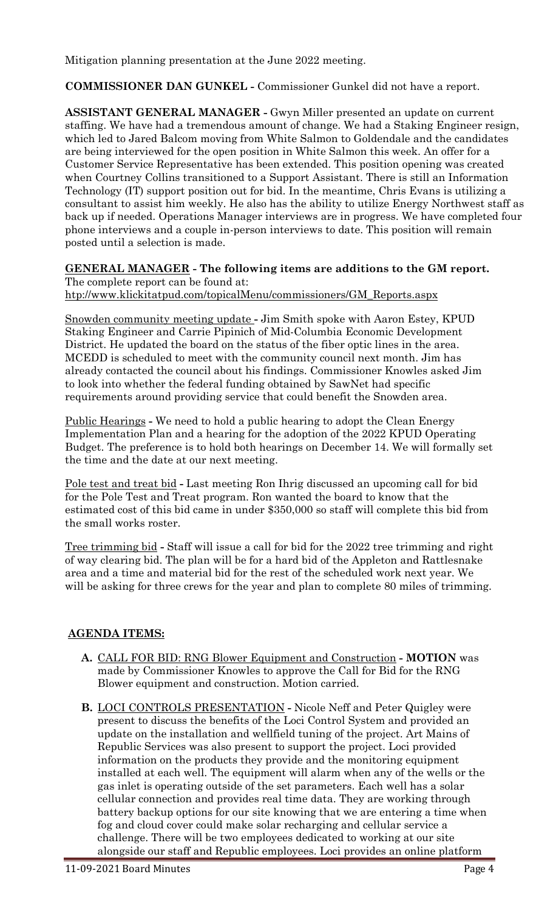Mitigation planning presentation at the June 2022 meeting.

**COMMISSIONER DAN GUNKEL -** Commissioner Gunkel did not have a report.

**ASSISTANT GENERAL MANAGER -** Gwyn Miller presented an update on current staffing. We have had a tremendous amount of change. We had a Staking Engineer resign, which led to Jared Balcom moving from White Salmon to Goldendale and the candidates are being interviewed for the open position in White Salmon this week. An offer for a Customer Service Representative has been extended. This position opening was created when Courtney Collins transitioned to a Support Assistant. There is still an Information Technology (IT) support position out for bid. In the meantime, Chris Evans is utilizing a consultant to assist him weekly. He also has the ability to utilize Energy Northwest staff as back up if needed. Operations Manager interviews are in progress. We have completed four phone interviews and a couple in-person interviews to date. This position will remain posted until a selection is made.

**GENERAL MANAGER - The following items are additions to the GM report.** The complete report can be found at:

[htp://www.klickitatpud.com/topicalMenu/commissioners/GM\\_Reports.aspx](http://www.klickitatpud.com/topicalMenu/commissioners/GM_Reports.aspx)

Snowden community meeting update **-** Jim Smith spoke with Aaron Estey, KPUD Staking Engineer and Carrie Pipinich of Mid-Columbia Economic Development District. He updated the board on the status of the fiber optic lines in the area. MCEDD is scheduled to meet with the community council next month. Jim has already contacted the council about his findings. Commissioner Knowles asked Jim to look into whether the federal funding obtained by SawNet had specific requirements around providing service that could benefit the Snowden area.

Public Hearings **-** We need to hold a public hearing to adopt the Clean Energy Implementation Plan and a hearing for the adoption of the 2022 KPUD Operating Budget. The preference is to hold both hearings on December 14. We will formally set the time and the date at our next meeting.

Pole test and treat bid **-** Last meeting Ron Ihrig discussed an upcoming call for bid for the Pole Test and Treat program. Ron wanted the board to know that the estimated cost of this bid came in under \$350,000 so staff will complete this bid from the small works roster.

Tree trimming bid **-** Staff will issue a call for bid for the 2022 tree trimming and right of way clearing bid. The plan will be for a hard bid of the Appleton and Rattlesnake area and a time and material bid for the rest of the scheduled work next year. We will be asking for three crews for the year and plan to complete 80 miles of trimming.

## **AGENDA ITEMS:**

- **A.** CALL FOR BID: RNG Blower Equipment and Construction **- MOTION** was made by Commissioner Knowles to approve the Call for Bid for the RNG Blower equipment and construction. Motion carried.
- **B.** LOCI CONTROLS PRESENTATION **-** Nicole Neff and Peter Quigley were present to discuss the benefits of the Loci Control System and provided an update on the installation and wellfield tuning of the project. Art Mains of Republic Services was also present to support the project. Loci provided information on the products they provide and the monitoring equipment installed at each well. The equipment will alarm when any of the wells or the gas inlet is operating outside of the set parameters. Each well has a solar cellular connection and provides real time data. They are working through battery backup options for our site knowing that we are entering a time when fog and cloud cover could make solar recharging and cellular service a challenge. There will be two employees dedicated to working at our site alongside our staff and Republic employees. Loci provides an online platform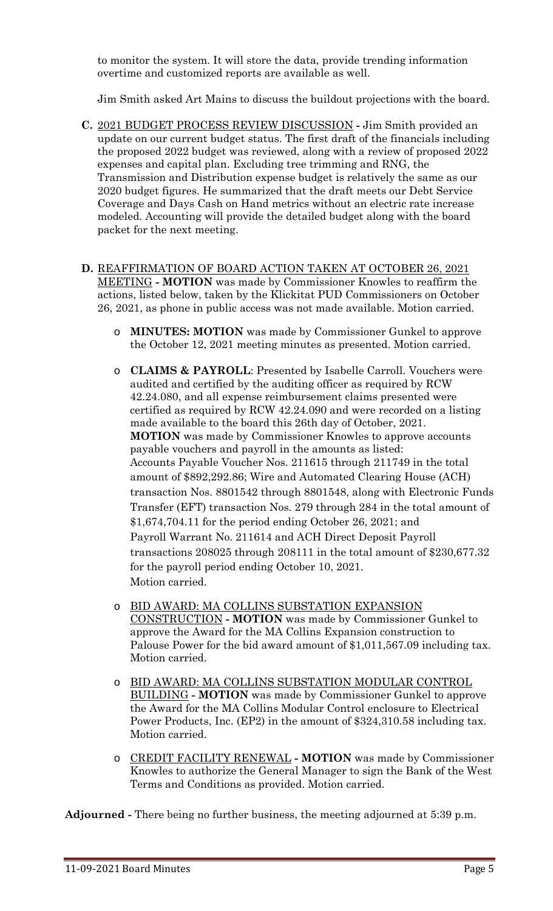to monitor the system. It will store the data, provide trending information overtime and customized reports are available as well.

Jim Smith asked Art Mains to discuss the buildout projections with the board.

- **C.** 2021 BUDGET PROCESS REVIEW DISCUSSION **-** Jim Smith provided an update on our current budget status. The first draft of the financials including the proposed 2022 budget was reviewed, along with a review of proposed 2022 expenses and capital plan. Excluding tree trimming and RNG, the Transmission and Distribution expense budget is relatively the same as our 2020 budget figures. He summarized that the draft meets our Debt Service Coverage and Days Cash on Hand metrics without an electric rate increase modeled. Accounting will provide the detailed budget along with the board packet for the next meeting.
- **D.** REAFFIRMATION OF BOARD ACTION TAKEN AT OCTOBER 26, 2021 MEETING **- MOTION** was made by Commissioner Knowles to reaffirm the actions, listed below, taken by the Klickitat PUD Commissioners on October 26, 2021, as phone in public access was not made available. Motion carried.
	- o **MINUTES: MOTION** was made by Commissioner Gunkel to approve the October 12, 2021 meeting minutes as presented. Motion carried.
	- o **CLAIMS & PAYROLL**: Presented by Isabelle Carroll. Vouchers were audited and certified by the auditing officer as required by RCW 42.24.080, and all expense reimbursement claims presented were certified as required by RCW 42.24.090 and were recorded on a listing made available to the board this 26th day of October, 2021. **MOTION** was made by Commissioner Knowles to approve accounts payable vouchers and payroll in the amounts as listed: Accounts Payable Voucher Nos. 211615 through 211749 in the total amount of \$892,292.86; Wire and Automated Clearing House (ACH) transaction Nos. 8801542 through 8801548, along with Electronic Funds Transfer (EFT) transaction Nos. 279 through 284 in the total amount of \$1,674,704.11 for the period ending October 26, 2021; and Payroll Warrant No. 211614 and ACH Direct Deposit Payroll transactions 208025 through 208111 in the total amount of \$230,677.32 for the payroll period ending October 10, 2021. Motion carried.
	- o BID AWARD: MA COLLINS SUBSTATION EXPANSION CONSTRUCTION **- MOTION** was made by Commissioner Gunkel to approve the Award for the MA Collins Expansion construction to Palouse Power for the bid award amount of \$1,011,567.09 including tax. Motion carried.
	- o BID AWARD: MA COLLINS SUBSTATION MODULAR CONTROL BUILDING **- MOTION** was made by Commissioner Gunkel to approve the Award for the MA Collins Modular Control enclosure to Electrical Power Products, Inc. (EP2) in the amount of \$324,310.58 including tax. Motion carried.
	- o CREDIT FACILITY RENEWAL **- MOTION** was made by Commissioner Knowles to authorize the General Manager to sign the Bank of the West Terms and Conditions as provided. Motion carried.

**Adjourned -** There being no further business, the meeting adjourned at 5:39 p.m.